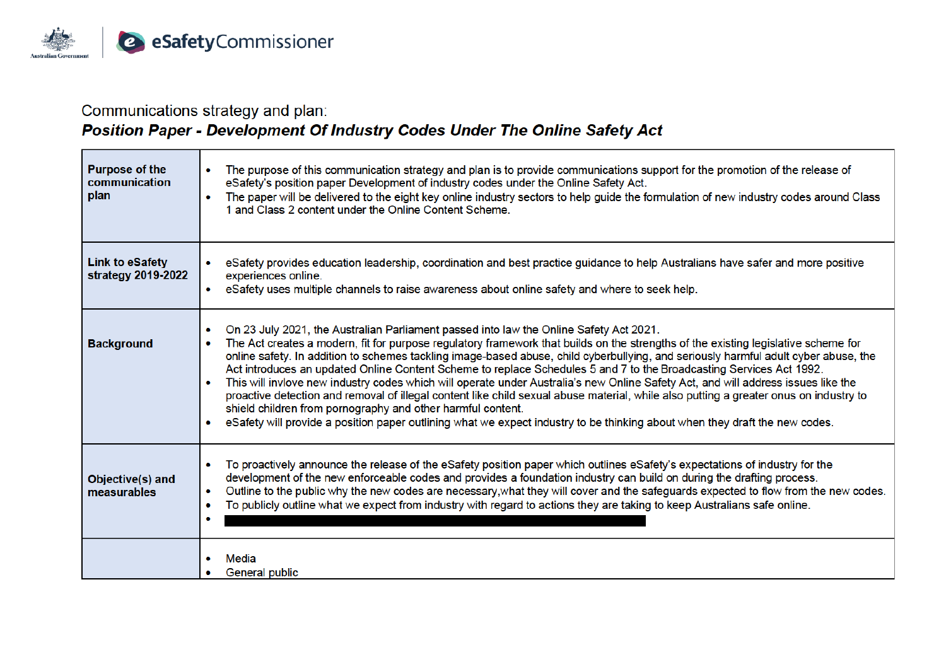

and the control of the control of the control of

### Communications strategy and plan:

## Position Paper - Development Of Industry Codes Under The Online Safety Act

| <b>Purpose of the</b><br>communication<br>plan | The purpose of this communication strategy and plan is to provide communications support for the promotion of the release of<br>$\bullet$<br>eSafety's position paper Development of industry codes under the Online Safety Act.<br>The paper will be delivered to the eight key online industry sectors to help guide the formulation of new industry codes around Class<br>1 and Class 2 content under the Online Content Scheme.                                                                                                                                                                                                                                                                                                                                                                                                                                                                                                                                                 |
|------------------------------------------------|-------------------------------------------------------------------------------------------------------------------------------------------------------------------------------------------------------------------------------------------------------------------------------------------------------------------------------------------------------------------------------------------------------------------------------------------------------------------------------------------------------------------------------------------------------------------------------------------------------------------------------------------------------------------------------------------------------------------------------------------------------------------------------------------------------------------------------------------------------------------------------------------------------------------------------------------------------------------------------------|
| <b>Link to eSafety</b><br>strategy 2019-2022   | eSafety provides education leadership, coordination and best practice guidance to help Australians have safer and more positive<br>experiences online.<br>eSafety uses multiple channels to raise awareness about online safety and where to seek help.<br>۰                                                                                                                                                                                                                                                                                                                                                                                                                                                                                                                                                                                                                                                                                                                        |
| <b>Background</b>                              | On 23 July 2021, the Australian Parliament passed into law the Online Safety Act 2021.<br>$\bullet$<br>The Act creates a modern, fit for purpose regulatory framework that builds on the strengths of the existing legislative scheme for<br>online safety. In addition to schemes tackling image-based abuse, child cyberbullying, and seriously harmful adult cyber abuse, the<br>Act introduces an updated Online Content Scheme to replace Schedules 5 and 7 to the Broadcasting Services Act 1992.<br>This will invlove new industry codes which will operate under Australia's new Online Safety Act, and will address issues like the<br>proactive detection and removal of illegal content like child sexual abuse material, while also putting a greater onus on industry to<br>shield children from pornography and other harmful content.<br>eSafety will provide a position paper outlining what we expect industry to be thinking about when they draft the new codes. |
| Objective(s) and<br>measurables                | To proactively announce the release of the eSafety position paper which outlines eSafety's expectations of industry for the<br>$\bullet$<br>development of the new enforceable codes and provides a foundation industry can build on during the drafting process.<br>Outline to the public why the new codes are necessary, what they will cover and the safeguards expected to flow from the new codes.<br>To publicly outline what we expect from industry with regard to actions they are taking to keep Australians safe online.<br>$\bullet$                                                                                                                                                                                                                                                                                                                                                                                                                                   |
|                                                | Media<br>General public                                                                                                                                                                                                                                                                                                                                                                                                                                                                                                                                                                                                                                                                                                                                                                                                                                                                                                                                                             |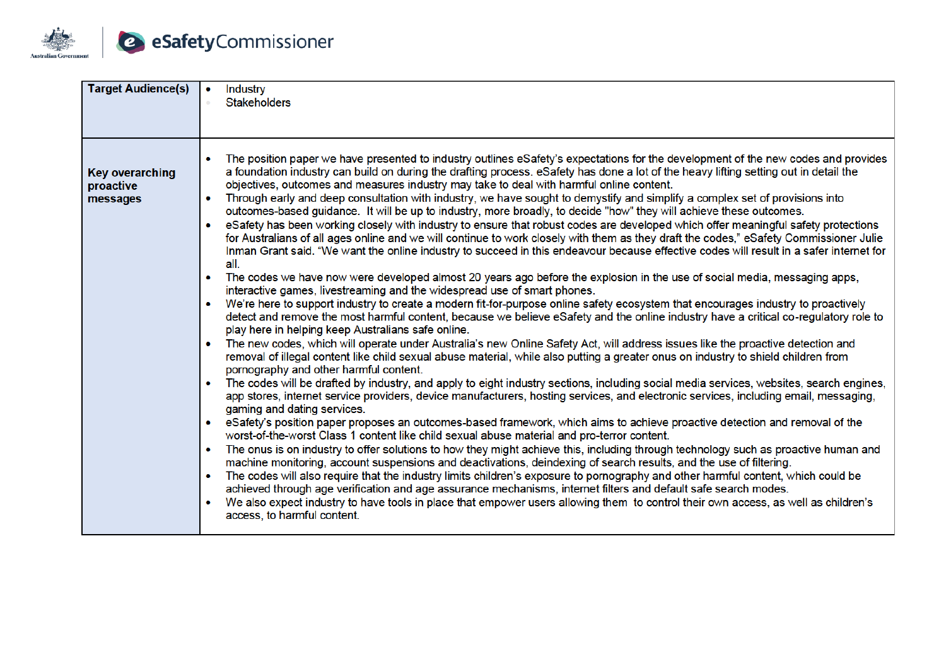

| <b>Target Audience(s)</b>                       | <b>Industry</b><br><b>Stakeholders</b>                                                                                                                                                                                                                                                                                                                                                                                                                                                                                                                                                                                                                                                                                                                                                                                                                                                                                                                                                                                                                                                                                                                                                                                                                                                                                                                                                                                                                                                                                                                                                                                                                                                                                                                                                                                                                                                                                                                                                                                                                                                                                                                                                                                                                                                                                                                                                                                                                                                                                                                                                                                                                                                                                                                                                                                                                                                                                                                                                                                                                                                                                                                                                                                  |
|-------------------------------------------------|-------------------------------------------------------------------------------------------------------------------------------------------------------------------------------------------------------------------------------------------------------------------------------------------------------------------------------------------------------------------------------------------------------------------------------------------------------------------------------------------------------------------------------------------------------------------------------------------------------------------------------------------------------------------------------------------------------------------------------------------------------------------------------------------------------------------------------------------------------------------------------------------------------------------------------------------------------------------------------------------------------------------------------------------------------------------------------------------------------------------------------------------------------------------------------------------------------------------------------------------------------------------------------------------------------------------------------------------------------------------------------------------------------------------------------------------------------------------------------------------------------------------------------------------------------------------------------------------------------------------------------------------------------------------------------------------------------------------------------------------------------------------------------------------------------------------------------------------------------------------------------------------------------------------------------------------------------------------------------------------------------------------------------------------------------------------------------------------------------------------------------------------------------------------------------------------------------------------------------------------------------------------------------------------------------------------------------------------------------------------------------------------------------------------------------------------------------------------------------------------------------------------------------------------------------------------------------------------------------------------------------------------------------------------------------------------------------------------------------------------------------------------------------------------------------------------------------------------------------------------------------------------------------------------------------------------------------------------------------------------------------------------------------------------------------------------------------------------------------------------------------------------------------------------------------------------------------------------------|
| <b>Key overarching</b><br>proactive<br>messages | • The position paper we have presented to industry outlines eSafety's expectations for the development of the new codes and provides<br>a foundation industry can build on during the drafting process. eSafety has done a lot of the heavy lifting setting out in detail the<br>objectives, outcomes and measures industry may take to deal with harmful online content.<br>Through early and deep consultation with industry, we have sought to demystify and simplify a complex set of provisions into<br>outcomes-based guidance. It will be up to industry, more broadly, to decide "how" they will achieve these outcomes.<br>eSafety has been working closely with industry to ensure that robust codes are developed which offer meaningful safety protections<br>for Australians of all ages online and we will continue to work closely with them as they draft the codes," eSafety Commissioner Julie<br>Inman Grant said. "We want the online industry to succeed in this endeavour because effective codes will result in a safer internet for<br>all.<br>The codes we have now were developed almost 20 years ago before the explosion in the use of social media, messaging apps,<br>$\bullet$<br>interactive games, livestreaming and the widespread use of smart phones.<br>We're here to support industry to create a modern fit-for-purpose online safety ecosystem that encourages industry to proactively<br>detect and remove the most harmful content, because we believe eSafety and the online industry have a critical co-regulatory role to<br>play here in helping keep Australians safe online.<br>The new codes, which will operate under Australia's new Online Safety Act, will address issues like the proactive detection and<br>$\bullet$<br>removal of illegal content like child sexual abuse material, while also putting a greater onus on industry to shield children from<br>pornography and other harmful content.<br>• The codes will be drafted by industry, and apply to eight industry sections, including social media services, websites, search engines,<br>app stores, internet service providers, device manufacturers, hosting services, and electronic services, including email, messaging,<br>gaming and dating services.<br>• eSafety's position paper proposes an outcomes-based framework, which aims to achieve proactive detection and removal of the<br>worst-of-the-worst Class 1 content like child sexual abuse material and pro-terror content.<br>The onus is on industry to offer solutions to how they might achieve this, including through technology such as proactive human and<br>machine monitoring, account suspensions and deactivations, deindexing of search results, and the use of filtering.<br>The codes will also require that the industry limits children's exposure to pornography and other harmful content, which could be<br>$\bullet$<br>achieved through age verification and age assurance mechanisms, internet filters and default safe search modes.<br>We also expect industry to have tools in place that empower users allowing them to control their own access, as well as children's<br>access, to harmful content. |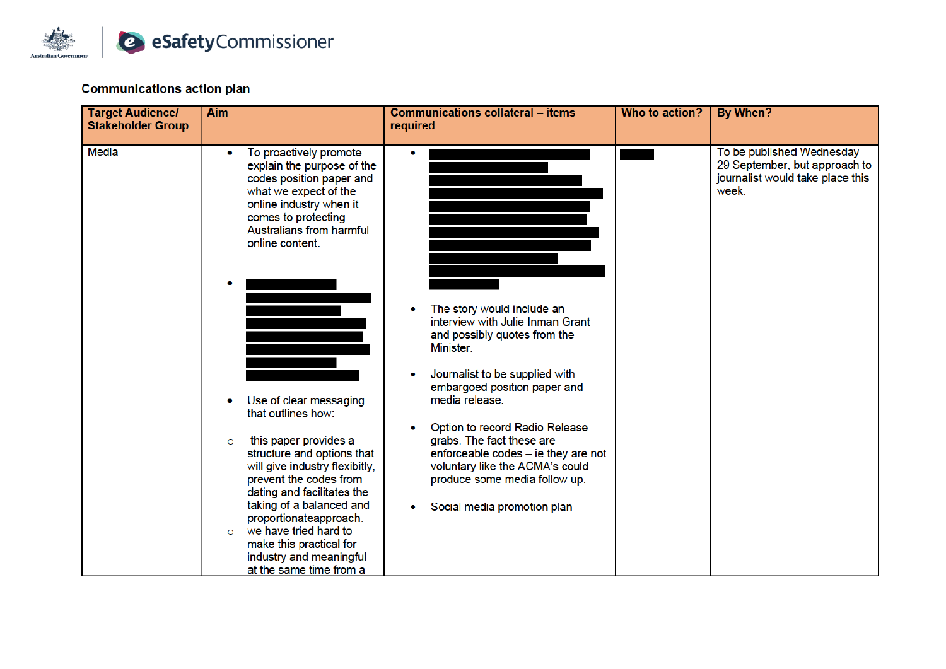

#### **Communications action plan**

| <b>Target Audience/</b><br><b>Stakeholder Group</b> | <b>Aim</b>                                                                                                                                                                                                                                                                                                                                                                                                                                                                                                                                                                                        | <b>Communications collateral - items</b><br>required                                                                                                                                                                                                                                                                                                                                                     | Who to action? | By When?                                                                                                |
|-----------------------------------------------------|---------------------------------------------------------------------------------------------------------------------------------------------------------------------------------------------------------------------------------------------------------------------------------------------------------------------------------------------------------------------------------------------------------------------------------------------------------------------------------------------------------------------------------------------------------------------------------------------------|----------------------------------------------------------------------------------------------------------------------------------------------------------------------------------------------------------------------------------------------------------------------------------------------------------------------------------------------------------------------------------------------------------|----------------|---------------------------------------------------------------------------------------------------------|
| <b>Media</b>                                        | To proactively promote<br>explain the purpose of the<br>codes position paper and<br>what we expect of the<br>online industry when it<br>comes to protecting<br>Australians from harmful<br>online content.<br>Use of clear messaging<br>that outlines how:<br>this paper provides a<br>$\circ$<br>structure and options that<br>will give industry flexibitly,<br>prevent the codes from<br>dating and facilitates the<br>taking of a balanced and<br>proportionateapproach.<br>we have tried hard to<br>$\circ$<br>make this practical for<br>industry and meaningful<br>at the same time from a | The story would include an<br>interview with Julie Inman Grant<br>and possibly quotes from the<br>Minister.<br>Journalist to be supplied with<br>embargoed position paper and<br>media release.<br>Option to record Radio Release<br>grabs. The fact these are<br>enforceable codes - ie they are not<br>voluntary like the ACMA's could<br>produce some media follow up.<br>Social media promotion plan |                | To be published Wednesday<br>29 September, but approach to<br>journalist would take place this<br>week. |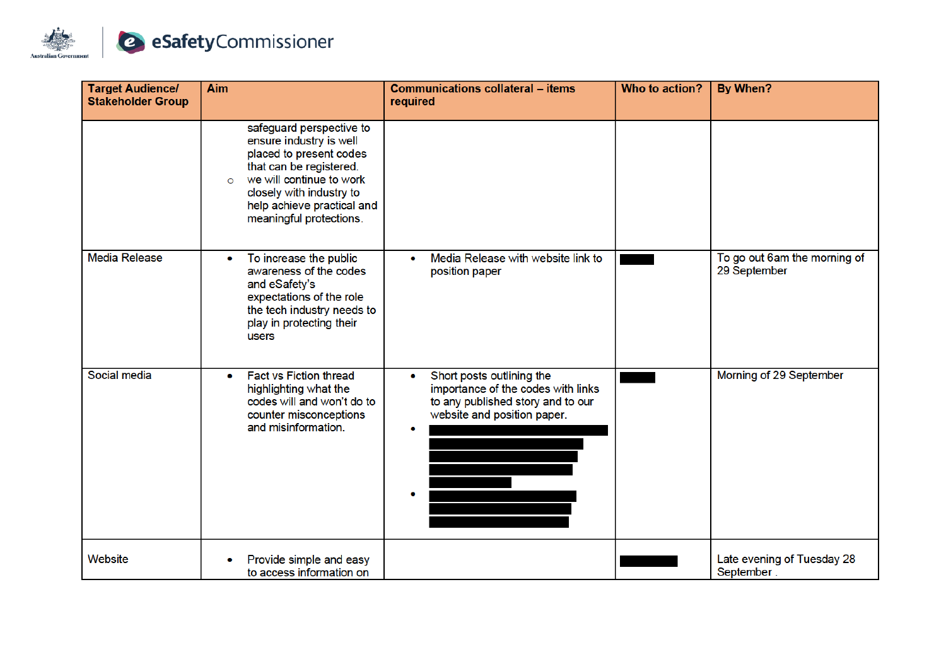

| <b>Target Audience/</b><br><b>Stakeholder Group</b> | Aim                                                                                                                                                                                                                                   | <b>Communications collateral - items</b><br>required                                                                                     | Who to action? | By When?                                     |
|-----------------------------------------------------|---------------------------------------------------------------------------------------------------------------------------------------------------------------------------------------------------------------------------------------|------------------------------------------------------------------------------------------------------------------------------------------|----------------|----------------------------------------------|
|                                                     | safeguard perspective to<br>ensure industry is well<br>placed to present codes<br>that can be registered.<br>we will continue to work<br>$\circ$<br>closely with industry to<br>help achieve practical and<br>meaningful protections. |                                                                                                                                          |                |                                              |
| <b>Media Release</b>                                | To increase the public<br>۰<br>awareness of the codes<br>and eSafety's<br>expectations of the role<br>the tech industry needs to<br>play in protecting their<br>users                                                                 | Media Release with website link to<br>۰<br>position paper                                                                                |                | To go out 6am the morning of<br>29 September |
| Social media                                        | <b>Fact vs Fiction thread</b><br>$\bullet$<br>highlighting what the<br>codes will and won't do to<br>counter misconceptions<br>and misinformation.                                                                                    | Short posts outlining the<br>۰<br>importance of the codes with links<br>to any published story and to our<br>website and position paper. |                | Morning of 29 September                      |
| Website                                             | Provide simple and easy<br>to access information on                                                                                                                                                                                   |                                                                                                                                          |                | Late evening of Tuesday 28<br>September.     |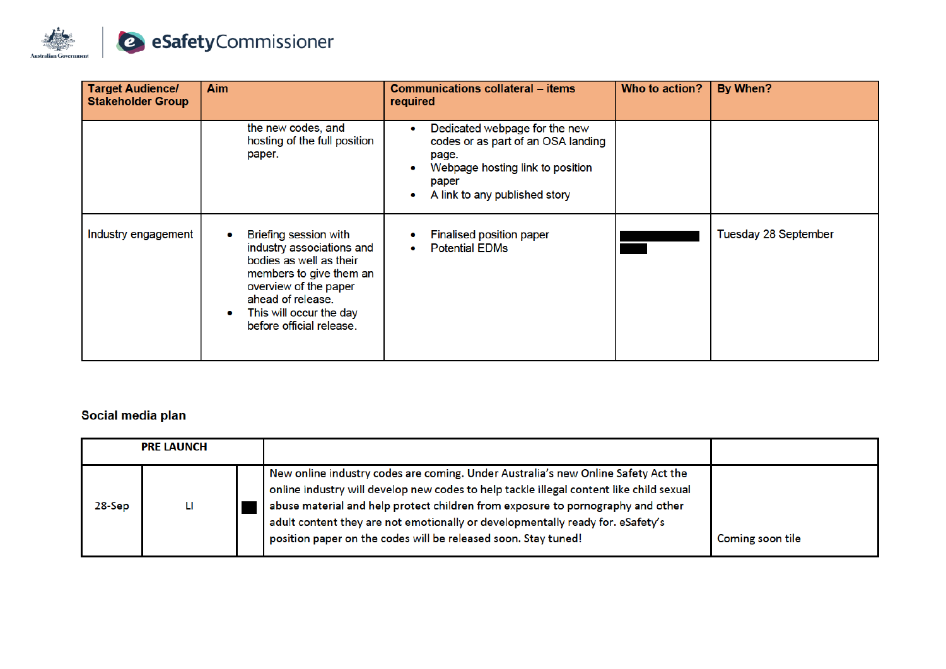

| <b>Target Audience/</b><br><b>Stakeholder Group</b> | <b>Aim</b>                                                                                                                                                                                                    | <b>Communications collateral – items</b><br>required                                                                                                            | Who to action? | By When?             |
|-----------------------------------------------------|---------------------------------------------------------------------------------------------------------------------------------------------------------------------------------------------------------------|-----------------------------------------------------------------------------------------------------------------------------------------------------------------|----------------|----------------------|
|                                                     | the new codes, and<br>hosting of the full position<br>paper.                                                                                                                                                  | Dedicated webpage for the new<br>۰<br>codes or as part of an OSA landing<br>page.<br>Webpage hosting link to position<br>paper<br>A link to any published story |                |                      |
| Industry engagement                                 | Briefing session with<br>industry associations and<br>bodies as well as their<br>members to give them an<br>overview of the paper<br>ahead of release.<br>This will occur the day<br>before official release. | <b>Finalised position paper</b><br><b>Potential EDMs</b>                                                                                                        |                | Tuesday 28 September |

#### Social media plan

| <b>PRE LAUNCH</b> |   |  |                                                                                                                                                                                                                                                                                                                                                                                                                     |                  |
|-------------------|---|--|---------------------------------------------------------------------------------------------------------------------------------------------------------------------------------------------------------------------------------------------------------------------------------------------------------------------------------------------------------------------------------------------------------------------|------------------|
| 28-Sep            | Ш |  | New online industry codes are coming. Under Australia's new Online Safety Act the<br>online industry will develop new codes to help tackle illegal content like child sexual<br>abuse material and help protect children from exposure to pornography and other<br>adult content they are not emotionally or developmentally ready for. eSafety's<br>position paper on the codes will be released soon. Stay tuned! | Coming soon tile |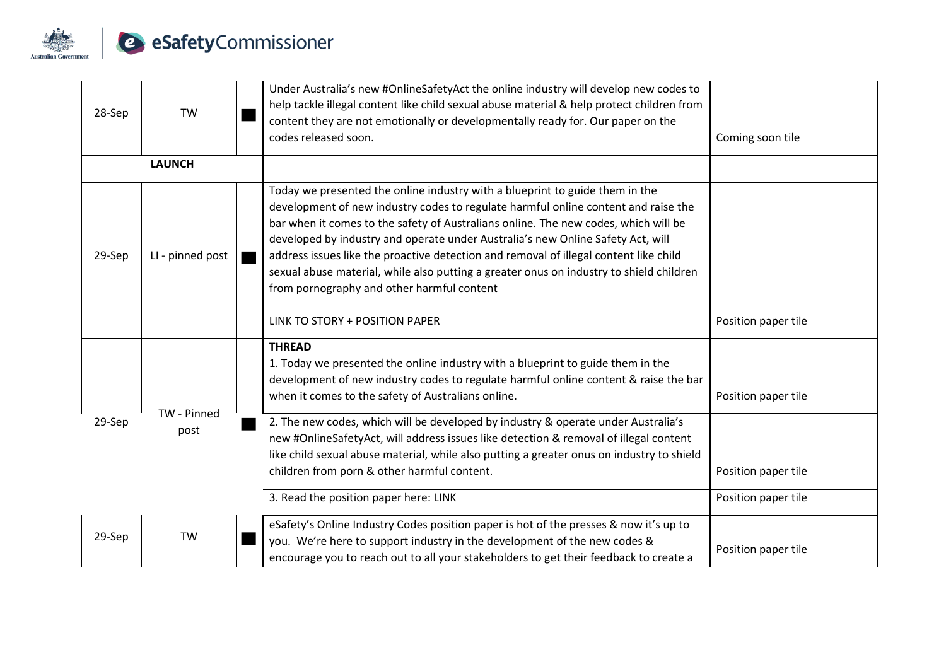

| 28-Sep | <b>TW</b>        | Under Australia's new #OnlineSafetyAct the online industry will develop new codes to<br>help tackle illegal content like child sexual abuse material & help protect children from<br>content they are not emotionally or developmentally ready for. Our paper on the<br>codes released soon.                                                                                                                                                                                                                                                                                   | Coming soon tile    |
|--------|------------------|--------------------------------------------------------------------------------------------------------------------------------------------------------------------------------------------------------------------------------------------------------------------------------------------------------------------------------------------------------------------------------------------------------------------------------------------------------------------------------------------------------------------------------------------------------------------------------|---------------------|
|        | <b>LAUNCH</b>    |                                                                                                                                                                                                                                                                                                                                                                                                                                                                                                                                                                                |                     |
| 29-Sep | LI - pinned post | Today we presented the online industry with a blueprint to guide them in the<br>development of new industry codes to regulate harmful online content and raise the<br>bar when it comes to the safety of Australians online. The new codes, which will be<br>developed by industry and operate under Australia's new Online Safety Act, will<br>address issues like the proactive detection and removal of illegal content like child<br>sexual abuse material, while also putting a greater onus on industry to shield children<br>from pornography and other harmful content |                     |
|        |                  | LINK TO STORY + POSITION PAPER                                                                                                                                                                                                                                                                                                                                                                                                                                                                                                                                                 | Position paper tile |
|        | TW - Pinned      | <b>THREAD</b><br>1. Today we presented the online industry with a blueprint to guide them in the<br>development of new industry codes to regulate harmful online content & raise the bar<br>when it comes to the safety of Australians online.                                                                                                                                                                                                                                                                                                                                 | Position paper tile |
| 29-Sep | post             | 2. The new codes, which will be developed by industry & operate under Australia's<br>new #OnlineSafetyAct, will address issues like detection & removal of illegal content<br>like child sexual abuse material, while also putting a greater onus on industry to shield<br>children from porn & other harmful content.                                                                                                                                                                                                                                                         | Position paper tile |
|        |                  | 3. Read the position paper here: LINK                                                                                                                                                                                                                                                                                                                                                                                                                                                                                                                                          | Position paper tile |
| 29-Sep | <b>TW</b>        | eSafety's Online Industry Codes position paper is hot of the presses & now it's up to<br>you. We're here to support industry in the development of the new codes &<br>encourage you to reach out to all your stakeholders to get their feedback to create a                                                                                                                                                                                                                                                                                                                    | Position paper tile |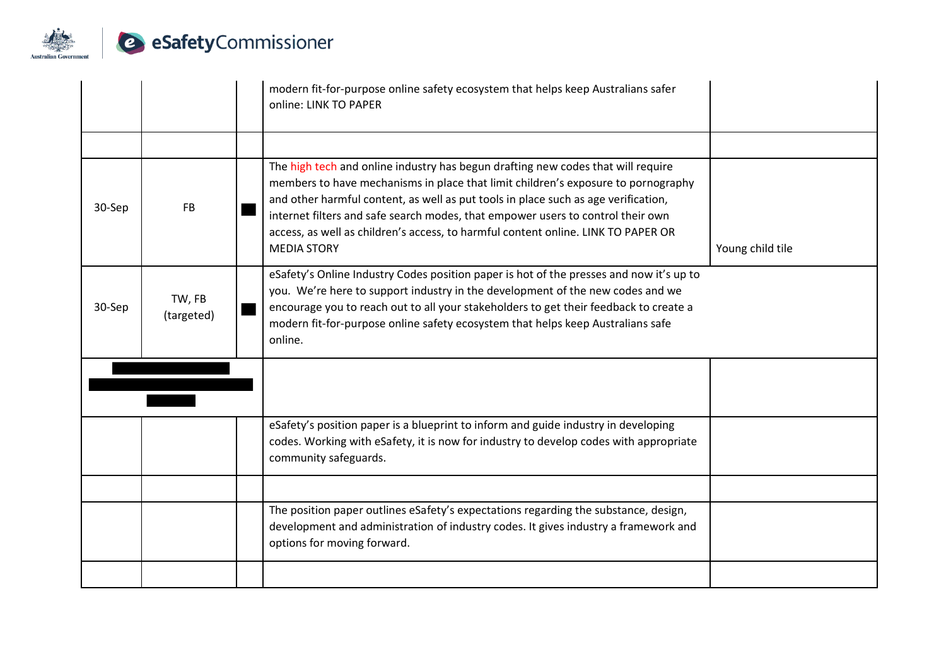

|        |                      | modern fit-for-purpose online safety ecosystem that helps keep Australians safer<br>online: LINK TO PAPER                                                                                                                                                                                                                                                                                                                                                 |                  |
|--------|----------------------|-----------------------------------------------------------------------------------------------------------------------------------------------------------------------------------------------------------------------------------------------------------------------------------------------------------------------------------------------------------------------------------------------------------------------------------------------------------|------------------|
|        |                      |                                                                                                                                                                                                                                                                                                                                                                                                                                                           |                  |
| 30-Sep | <b>FB</b>            | The high tech and online industry has begun drafting new codes that will require<br>members to have mechanisms in place that limit children's exposure to pornography<br>and other harmful content, as well as put tools in place such as age verification,<br>internet filters and safe search modes, that empower users to control their own<br>access, as well as children's access, to harmful content online. LINK TO PAPER OR<br><b>MEDIA STORY</b> | Young child tile |
| 30-Sep | TW, FB<br>(targeted) | eSafety's Online Industry Codes position paper is hot of the presses and now it's up to<br>you. We're here to support industry in the development of the new codes and we<br>encourage you to reach out to all your stakeholders to get their feedback to create a<br>modern fit-for-purpose online safety ecosystem that helps keep Australians safe<br>online.                                                                                          |                  |
|        |                      |                                                                                                                                                                                                                                                                                                                                                                                                                                                           |                  |
|        |                      | eSafety's position paper is a blueprint to inform and guide industry in developing<br>codes. Working with eSafety, it is now for industry to develop codes with appropriate<br>community safeguards.                                                                                                                                                                                                                                                      |                  |
|        |                      |                                                                                                                                                                                                                                                                                                                                                                                                                                                           |                  |
|        |                      | The position paper outlines eSafety's expectations regarding the substance, design,<br>development and administration of industry codes. It gives industry a framework and<br>options for moving forward.                                                                                                                                                                                                                                                 |                  |
|        |                      |                                                                                                                                                                                                                                                                                                                                                                                                                                                           |                  |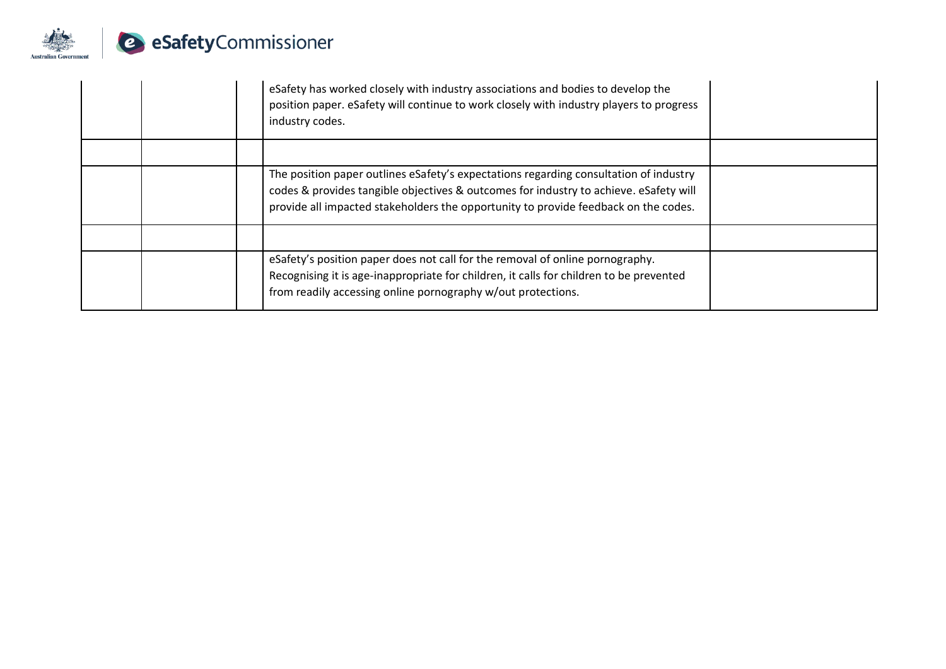

|  | eSafety has worked closely with industry associations and bodies to develop the<br>position paper. eSafety will continue to work closely with industry players to progress<br>industry codes.                                                                         |
|--|-----------------------------------------------------------------------------------------------------------------------------------------------------------------------------------------------------------------------------------------------------------------------|
|  |                                                                                                                                                                                                                                                                       |
|  | The position paper outlines eSafety's expectations regarding consultation of industry<br>codes & provides tangible objectives & outcomes for industry to achieve. eSafety will<br>provide all impacted stakeholders the opportunity to provide feedback on the codes. |
|  |                                                                                                                                                                                                                                                                       |
|  | eSafety's position paper does not call for the removal of online pornography.<br>Recognising it is age-inappropriate for children, it calls for children to be prevented<br>from readily accessing online pornography w/out protections.                              |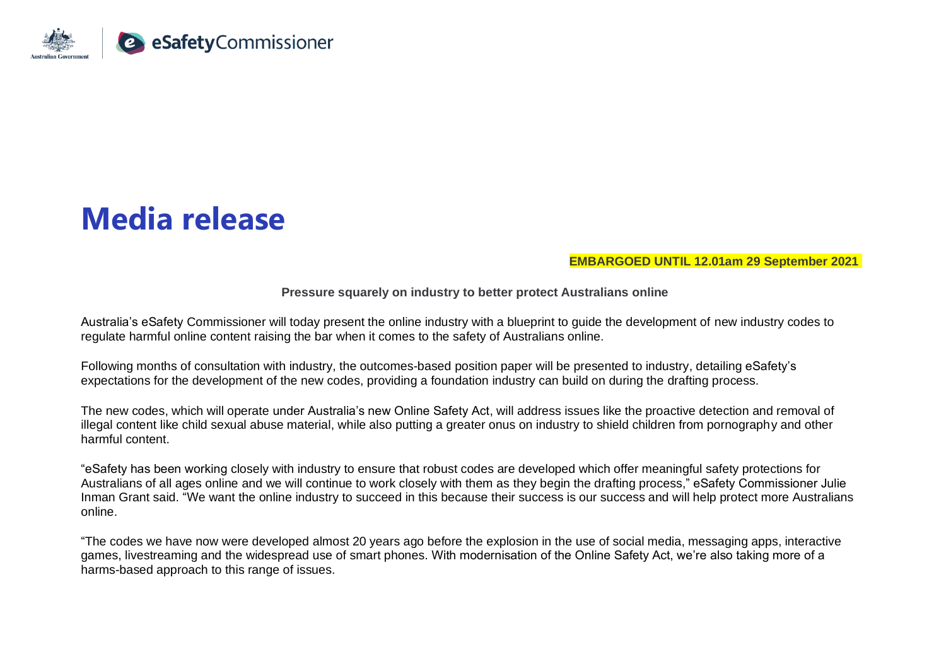

# **Media release**

**EMBARGOED UNTIL 12.01am 29 September 2021**

**Pressure squarely on industry to better protect Australians online**

Australia's eSafety Commissioner will today present the online industry with a blueprint to guide the development of new industry codes to regulate harmful online content raising the bar when it comes to the safety of Australians online.

Following months of consultation with industry, the outcomes-based position paper will be presented to industry, detailing eSafety's expectations for the development of the new codes, providing a foundation industry can build on during the drafting process.

The new codes, which will operate under Australia's new Online Safety Act, will address issues like the proactive detection and removal of illegal content like child sexual abuse material, while also putting a greater onus on industry to shield children from pornography and other harmful content.

"eSafety has been working closely with industry to ensure that robust codes are developed which offer meaningful safety protections for Australians of all ages online and we will continue to work closely with them as they begin the drafting process," eSafety Commissioner Julie Inman Grant said. "We want the online industry to succeed in this because their success is our success and will help protect more Australians online.

"The codes we have now were developed almost 20 years ago before the explosion in the use of social media, messaging apps, interactive games, livestreaming and the widespread use of smart phones. With modernisation of the Online Safety Act, we're also taking more of a harms-based approach to this range of issues.